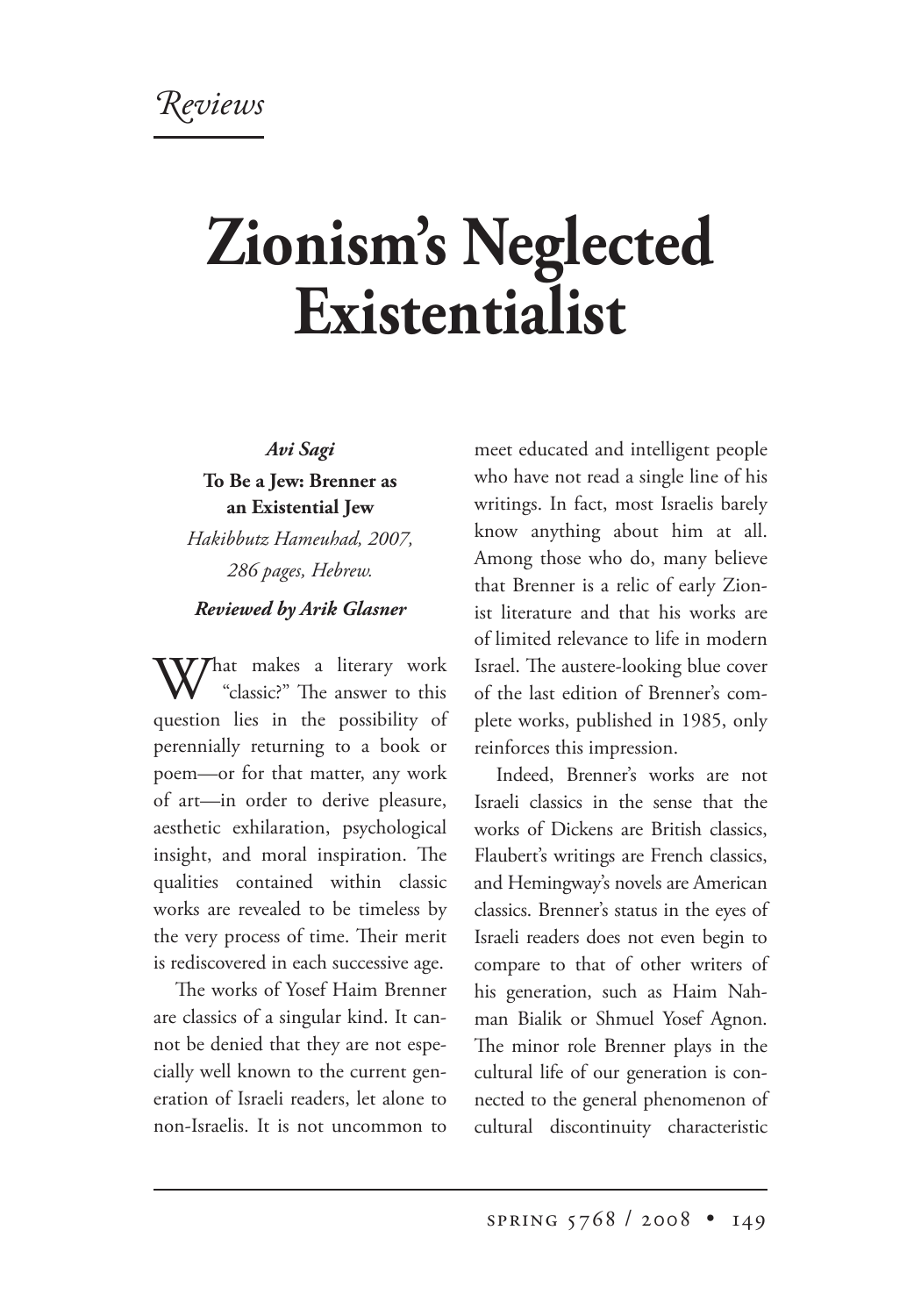## **Zionism's Neglected Existentialist**

*Avi Sagi* **To Be a Jew: Brenner as an Existential Jew** *Hakibbutz Hameuhad, 2007, 286 pages, Hebrew. Reviewed by Arik Glasner*

What makes a literary work<br>
"classic?" The answer to this<br>
interaction question lies in the possibility of perennially returning to a book or poem—or for that matter, any work of art—in order to derive pleasure, aesthetic exhilaration, psychological insight, and moral inspiration. The qualities contained within classic works are revealed to be timeless by the very process of time. Their merit is rediscovered in each successive age.

The works of Yosef Haim Brenner are classics of a singular kind. It cannot be denied that they are not especially well known to the current generation of Israeli readers, let alone to non-Israelis. It is not uncommon to meet educated and intelligent people who have not read a single line of his writings. In fact, most Israelis barely know anything about him at all. Among those who do, many believe that Brenner is a relic of early Zionist literature and that his works are of limited relevance to life in modern Israel. The austere-looking blue cover of the last edition of Brenner's complete works, published in 1985, only reinforces this impression.

Indeed, Brenner's works are not Israeli classics in the sense that the works of Dickens are British classics, Flaubert's writings are French classics, and Hemingway's novels are American classics. Brenner's status in the eyes of Israeli readers does not even begin to compare to that of other writers of his generation, such as Haim Nahman Bialik or Shmuel Yosef Agnon. The minor role Brenner plays in the cultural life of our generation is connected to the general phenomenon of cultural discontinuity characteristic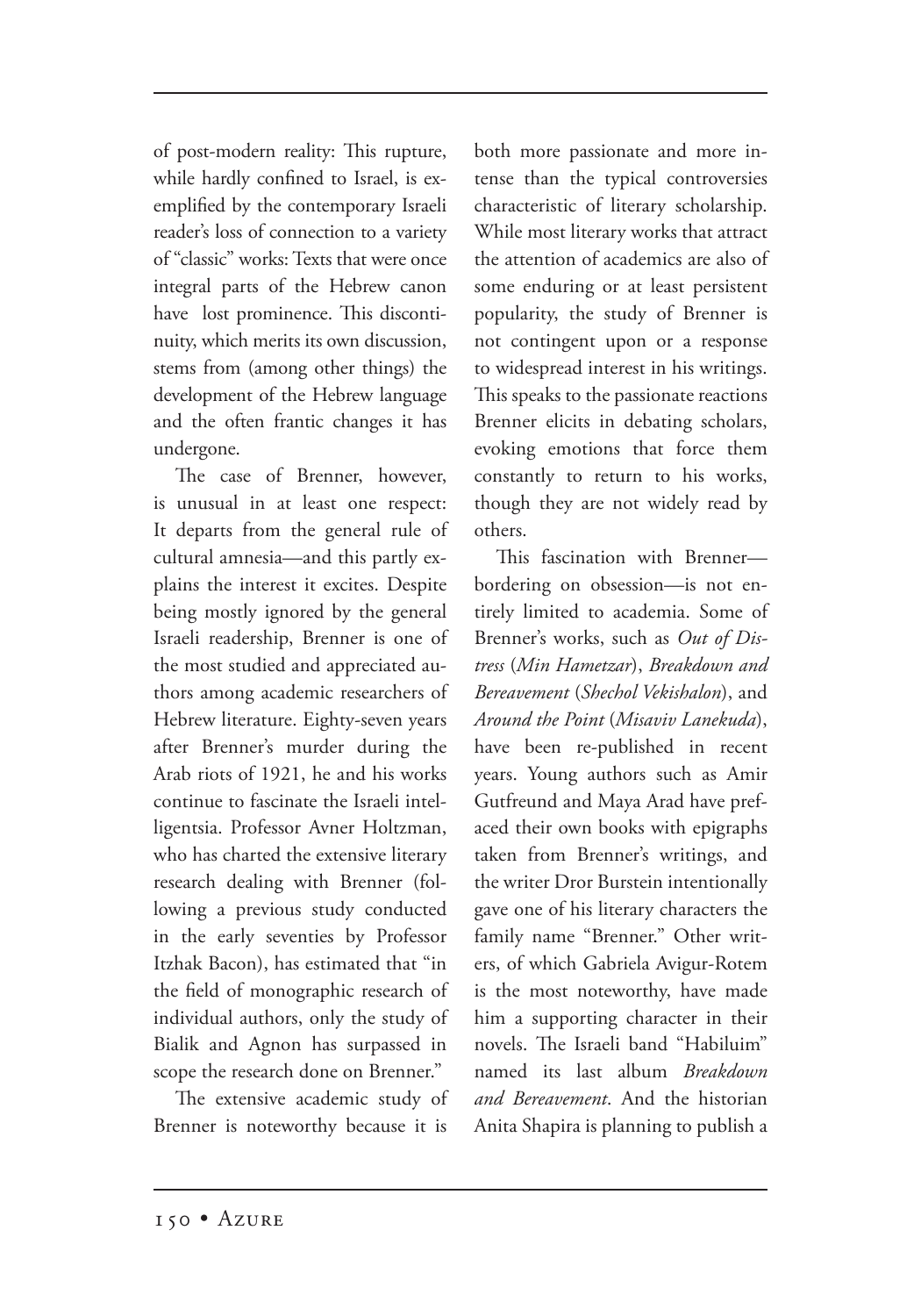of post-modern reality: This rupture, while hardly confined to Israel, is exemplified by the contemporary Israeli reader's loss of connection to a variety of "classic" works: Texts that were once integral parts of the Hebrew canon have lost prominence. This discontinuity, which merits its own discussion, stems from (among other things) the development of the Hebrew language and the often frantic changes it has undergone.

The case of Brenner, however, is unusual in at least one respect: It departs from the general rule of cultural amnesia—and this partly explains the interest it excites. Despite being mostly ignored by the general Israeli readership, Brenner is one of the most studied and appreciated authors among academic researchers of Hebrew literature. Eighty-seven years after Brenner's murder during the Arab riots of 1921, he and his works continue to fascinate the Israeli intelligentsia. Professor Avner Holtzman, who has charted the extensive literary research dealing with Brenner (following a previous study conducted in the early seventies by Professor Itzhak Bacon), has estimated that "in the field of monographic research of individual authors, only the study of Bialik and Agnon has surpassed in scope the research done on Brenner."

The extensive academic study of Brenner is noteworthy because it is both more passionate and more intense than the typical controversies characteristic of literary scholarship. While most literary works that attract the attention of academics are also of some enduring or at least persistent popularity, the study of Brenner is not contingent upon or a response to widespread interest in his writings. This speaks to the passionate reactions Brenner elicits in debating scholars, evoking emotions that force them constantly to return to his works, though they are not widely read by others.

This fascination with Brenner bordering on obsession—is not entirely limited to academia. Some of Brenner's works, such as *Out of Distress* (*Min Hametzar*), *Breakdown and Bereavement* (*Shechol Vekishalon*), and *Around the Point* (*Misaviv Lanekuda*), have been re-published in recent years. Young authors such as Amir Gutfreund and Maya Arad have prefaced their own books with epigraphs taken from Brenner's writings, and the writer Dror Burstein intentionally gave one of his literary characters the family name "Brenner." Other writers, of which Gabriela Avigur-Rotem is the most noteworthy, have made him a supporting character in their novels. The Israeli band "Habiluim" named its last album *Breakdown and Bereavement*. And the historian Anita Shapira is planning to publish a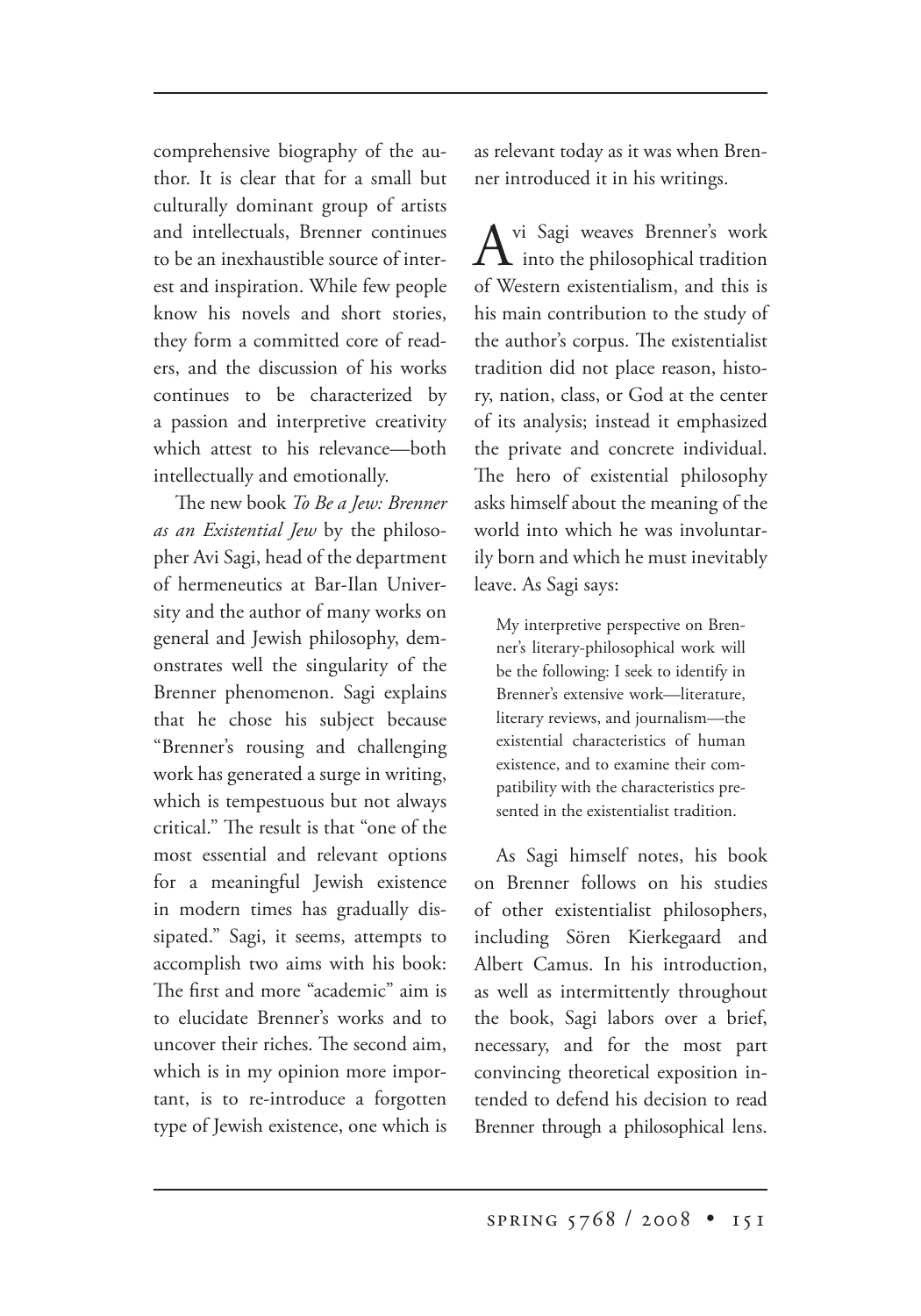comprehensive biography of the author. It is clear that for a small but culturally dominant group of artists and intellectuals, Brenner continues to be an inexhaustible source of interest and inspiration. While few people know his novels and short stories, they form a committed core of readers, and the discussion of his works continues to be characterized by a passion and interpretive creativity which attest to his relevance—both intellectually and emotionally.

The new book *To Be a Jew: Brenner as an Existential Jew* by the philosopher Avi Sagi, head of the department of hermeneutics at Bar-Ilan University and the author of many works on general and Jewish philosophy, demonstrates well the singularity of the Brenner phenomenon. Sagi explains that he chose his subject because "Brenner's rousing and challenging work has generated a surge in writing, which is tempestuous but not always critical." The result is that "one of the most essential and relevant options for a meaningful Jewish existence in modern times has gradually dissipated." Sagi, it seems, attempts to accomplish two aims with his book: The first and more "academic" aim is to elucidate Brenner's works and to uncover their riches. The second aim, which is in my opinion more important, is to re-introduce a forgotten type of Jewish existence, one which is as relevant today as it was when Brenner introduced it in his writings.

 $A^{vi$  Sagi weaves Brenner's work<br>into the philosophical tradition of Western existentialism, and this is his main contribution to the study of the author's corpus. The existentialist tradition did not place reason, history, nation, class, or God at the center of its analysis; instead it emphasized the private and concrete individual. The hero of existential philosophy asks himself about the meaning of the world into which he was involuntarily born and which he must inevitably leave. As Sagi says:

My interpretive perspective on Brenner's literary-philosophical work will be the following: I seek to identify in Brenner's extensive work—literature, literary reviews, and journalism—the existential characteristics of human existence, and to examine their compatibility with the characteristics presented in the existentialist tradition.

As Sagi himself notes, his book on Brenner follows on his studies of other existentialist philosophers, including Sören Kierkegaard and Albert Camus. In his introduction, as well as intermittently throughout the book, Sagi labors over a brief, necessary, and for the most part convincing theoretical exposition intended to defend his decision to read Brenner through a philosophical lens.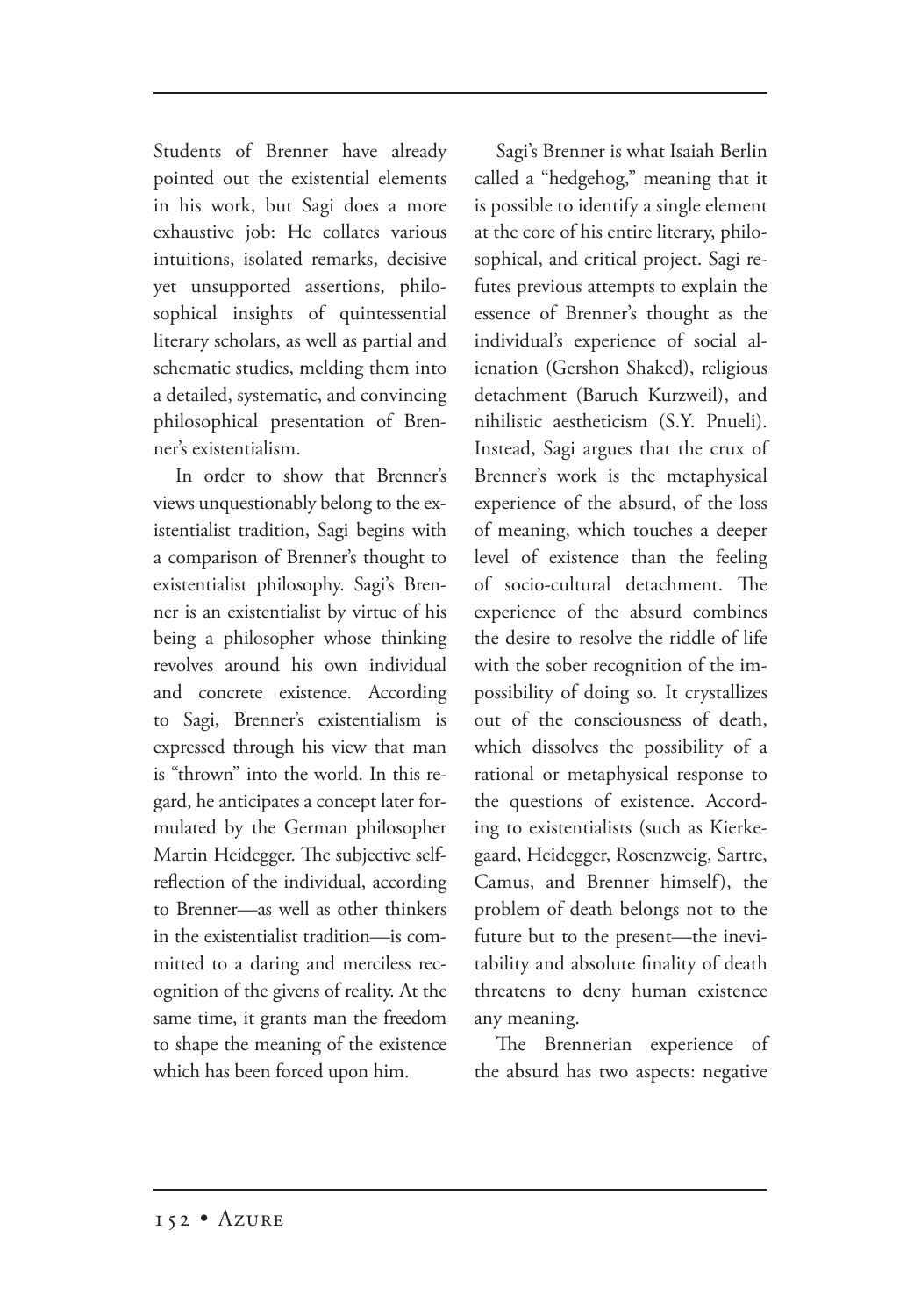Students of Brenner have already pointed out the existential elements in his work, but Sagi does a more exhaustive job: He collates various intuitions, isolated remarks, decisive yet unsupported assertions, philosophical insights of quintessential literary scholars, as well as partial and schematic studies, melding them into a detailed, systematic, and convincing philosophical presentation of Brenner's existentialism.

In order to show that Brenner's views unquestionably belong to the existentialist tradition, Sagi begins with a comparison of Brenner's thought to existentialist philosophy. Sagi's Brenner is an existentialist by virtue of his being a philosopher whose thinking revolves around his own individual and concrete existence. According to Sagi, Brenner's existentialism is expressed through his view that man is "thrown" into the world. In this regard, he anticipates a concept later formulated by the German philosopher Martin Heidegger. The subjective selfreflection of the individual, according to Brenner—as well as other thinkers in the existentialist tradition—is committed to a daring and merciless recognition of the givens of reality. At the same time, it grants man the freedom to shape the meaning of the existence which has been forced upon him.

Sagi's Brenner is what Isaiah Berlin called a "hedgehog," meaning that it is possible to identify a single element at the core of his entire literary, philosophical, and critical project. Sagi refutes previous attempts to explain the essence of Brenner's thought as the individual's experience of social alienation (Gershon Shaked), religious detachment (Baruch Kurzweil), and nihilistic aestheticism (S.Y. Pnueli). Instead, Sagi argues that the crux of Brenner's work is the metaphysical experience of the absurd, of the loss of meaning, which touches a deeper level of existence than the feeling of socio-cultural detachment. The experience of the absurd combines the desire to resolve the riddle of life with the sober recognition of the impossibility of doing so. It crystallizes out of the consciousness of death, which dissolves the possibility of a rational or metaphysical response to the questions of existence. According to existentialists (such as Kierkegaard, Heidegger, Rosenzweig, Sartre, Camus, and Brenner himself), the problem of death belongs not to the future but to the present—the inevitability and absolute finality of death threatens to deny human existence any meaning.

The Brennerian experience of the absurd has two aspects: negative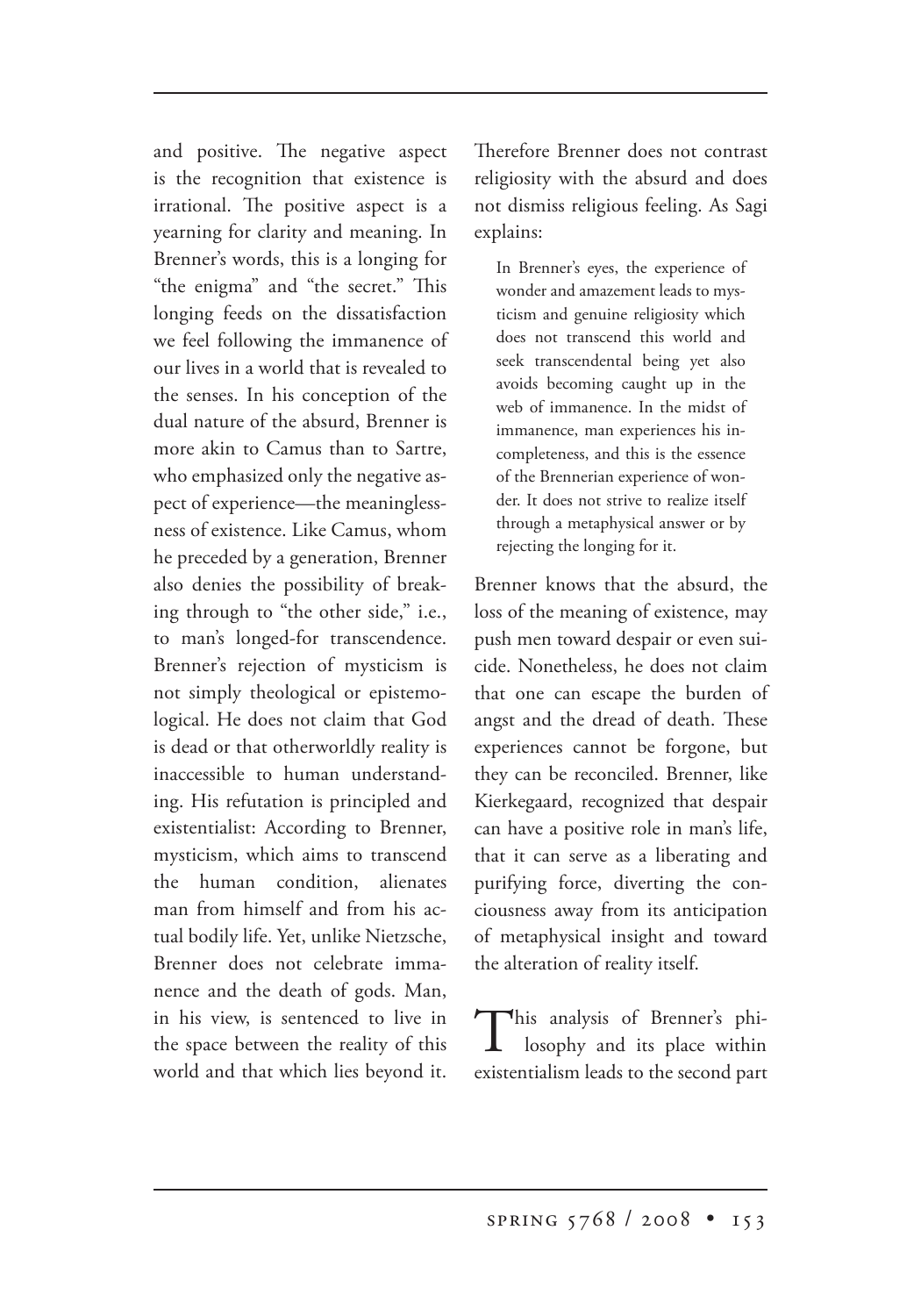and positive. The negative aspect is the recognition that existence is irrational. The positive aspect is a yearning for clarity and meaning. In Brenner's words, this is a longing for "the enigma" and "the secret." This longing feeds on the dissatisfaction we feel following the immanence of our lives in a world that is revealed to the senses. In his conception of the dual nature of the absurd, Brenner is more akin to Camus than to Sartre, who emphasized only the negative aspect of experience—the meaninglessness of existence. Like Camus, whom he preceded by a generation, Brenner also denies the possibility of breaking through to "the other side," i.e., to man's longed-for transcendence. Brenner's rejection of mysticism is not simply theological or epistemological. He does not claim that God is dead or that otherworldly reality is inaccessible to human understanding. His refutation is principled and existentialist: According to Brenner, mysticism, which aims to transcend the human condition, alienates man from himself and from his actual bodily life. Yet, unlike Nietzsche, Brenner does not celebrate immanence and the death of gods. Man, in his view, is sentenced to live in the space between the reality of this world and that which lies beyond it.

Therefore Brenner does not contrast religiosity with the absurd and does not dismiss religious feeling. As Sagi explains:

In Brenner's eyes, the experience of wonder and amazement leads to mysticism and genuine religiosity which does not transcend this world and seek transcendental being yet also avoids becoming caught up in the web of immanence. In the midst of immanence, man experiences his incompleteness, and this is the essence of the Brennerian experience of wonder. It does not strive to realize itself through a metaphysical answer or by rejecting the longing for it.

Brenner knows that the absurd, the loss of the meaning of existence, may push men toward despair or even suicide. Nonetheless, he does not claim that one can escape the burden of angst and the dread of death. These experiences cannot be forgone, but they can be reconciled. Brenner, like Kierkegaard, recognized that despair can have a positive role in man's life, that it can serve as a liberating and purifying force, diverting the conciousness away from its anticipation of metaphysical insight and toward the alteration of reality itself.

This analysis of Brenner's phi-<br>losophy and its place within existentialism leads to the second part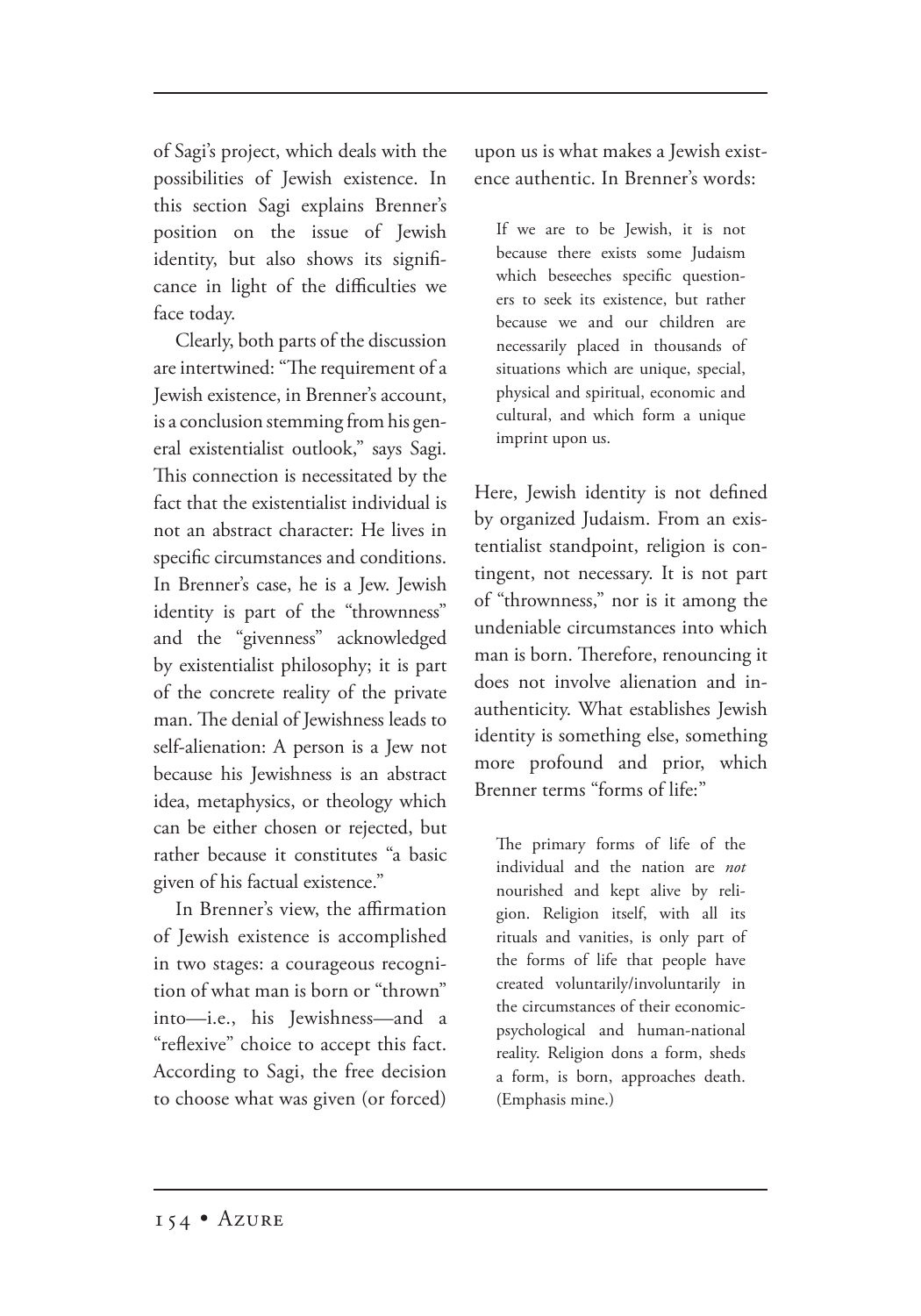of Sagi's project, which deals with the possibilities of Jewish existence. In this section Sagi explains Brenner's position on the issue of Jewish identity, but also shows its significance in light of the difficulties we face today.

Clearly, both parts of the discussion are intertwined: "The requirement of a Jewish existence, in Brenner's account, is a conclusion stemming from his general existentialist outlook," says Sagi. This connection is necessitated by the fact that the existentialist individual is not an abstract character: He lives in specific circumstances and conditions. In Brenner's case, he is a Jew. Jewish identity is part of the "thrownness" and the "givenness" acknowledged by existentialist philosophy; it is part of the concrete reality of the private man. The denial of Jewishness leads to self-alienation: A person is a Jew not because his Jewishness is an abstract idea, metaphysics, or theology which can be either chosen or rejected, but rather because it constitutes "a basic given of his factual existence."

In Brenner's view, the affirmation of Jewish existence is accomplished in two stages: a courageous recognition of what man is born or "thrown" into—i.e., his Jewishness—and a "reflexive" choice to accept this fact. According to Sagi, the free decision to choose what was given (or forced) upon us is what makes a Jewish existence authentic. In Brenner's words:

If we are to be Jewish, it is not because there exists some Judaism which beseeches specific questioners to seek its existence, but rather because we and our children are necessarily placed in thousands of situations which are unique, special, physical and spiritual, economic and cultural, and which form a unique imprint upon us.

Here, Jewish identity is not defined by organized Judaism. From an existentialist standpoint, religion is contingent, not necessary. It is not part of "thrownness," nor is it among the undeniable circumstances into which man is born. Therefore, renouncing it does not involve alienation and inauthenticity. What establishes Jewish identity is something else, something more profound and prior, which Brenner terms "forms of life:"

The primary forms of life of the individual and the nation are *not* nourished and kept alive by religion. Religion itself, with all its rituals and vanities, is only part of the forms of life that people have created voluntarily/involuntarily in the circumstances of their economicpsychological and human-national reality. Religion dons a form, sheds a form, is born, approaches death. (Emphasis mine.)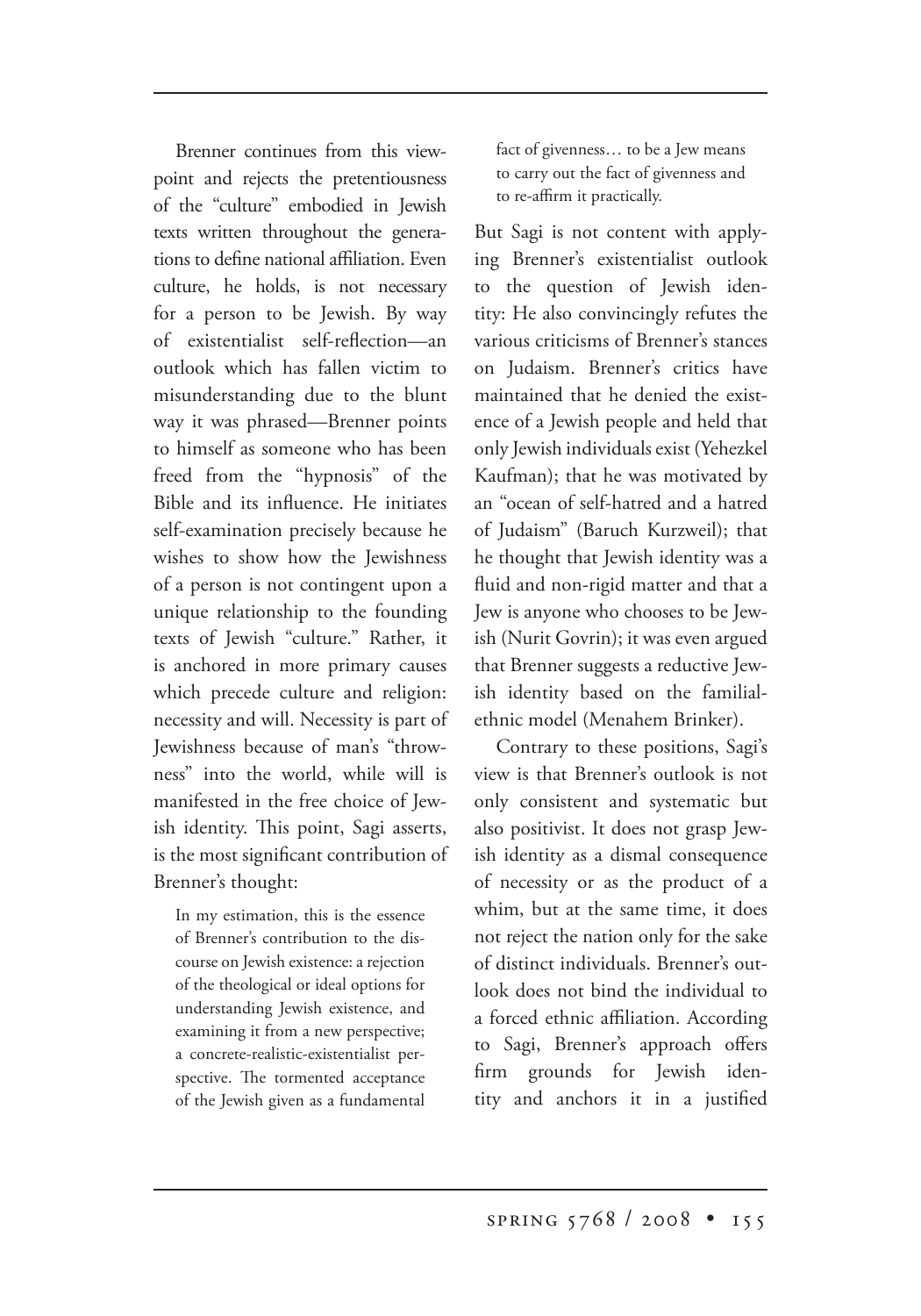Brenner continues from this viewpoint and rejects the pretentiousness of the "culture" embodied in Jewish texts written throughout the generations to define national affiliation. Even culture, he holds, is not necessary for a person to be Jewish. By way of existentialist self-reflection—an outlook which has fallen victim to misunderstanding due to the blunt way it was phrased—Brenner points to himself as someone who has been freed from the "hypnosis" of the Bible and its influence. He initiates self-examination precisely because he wishes to show how the Jewishness of a person is not contingent upon a unique relationship to the founding texts of Jewish "culture." Rather, it is anchored in more primary causes which precede culture and religion: necessity and will. Necessity is part of Jewishness because of man's "throwness" into the world, while will is manifested in the free choice of Jewish identity. This point, Sagi asserts, is the most significant contribution of Brenner's thought:

In my estimation, this is the essence of Brenner's contribution to the discourse on Jewish existence: a rejection of the theological or ideal options for understanding Jewish existence, and examining it from a new perspective; a concrete-realistic-existentialist perspective. The tormented acceptance of the Jewish given as a fundamental fact of givenness… to be a Jew means to carry out the fact of givenness and to re-affirm it practically.

But Sagi is not content with applying Brenner's existentialist outlook to the question of Jewish identity: He also convincingly refutes the various criticisms of Brenner's stances on Judaism. Brenner's critics have maintained that he denied the existence of a Jewish people and held that only Jewish individuals exist (Yehezkel Kaufman); that he was motivated by an "ocean of self-hatred and a hatred of Judaism" (Baruch Kurzweil); that he thought that Jewish identity was a fluid and non-rigid matter and that a Jew is anyone who chooses to be Jewish (Nurit Govrin); it was even argued that Brenner suggests a reductive Jewish identity based on the familialethnic model (Menahem Brinker).

Contrary to these positions, Sagi's view is that Brenner's outlook is not only consistent and systematic but also positivist. It does not grasp Jewish identity as a dismal consequence of necessity or as the product of a whim, but at the same time, it does not reject the nation only for the sake of distinct individuals. Brenner's outlook does not bind the individual to a forced ethnic affiliation. According to Sagi, Brenner's approach offers firm grounds for Jewish identity and anchors it in a justified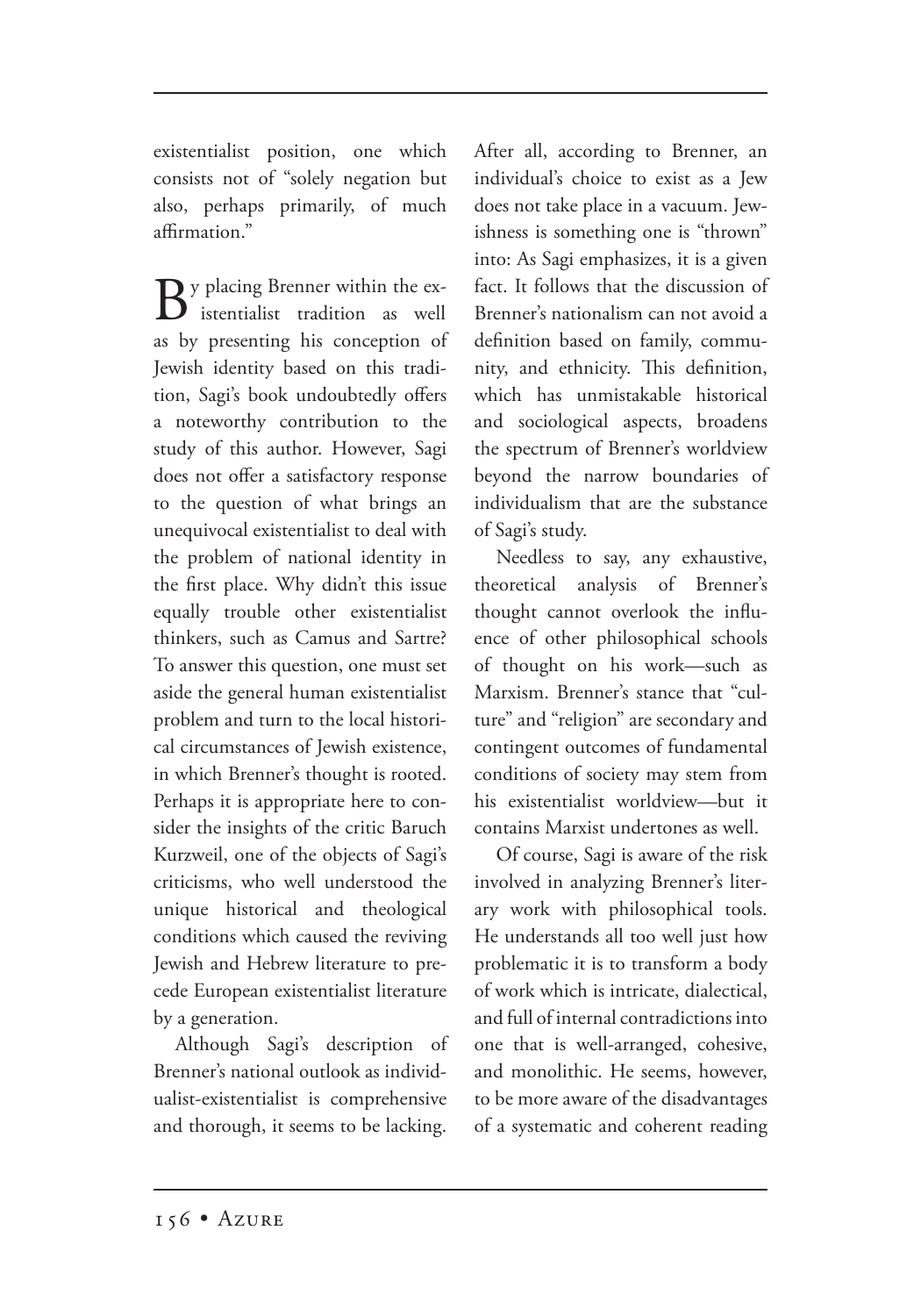existentialist position, one which consists not of "solely negation but also, perhaps primarily, of much affirmation."

 $\mathbf{B}$ y placing Brenner within the exas by presenting his conception of Jewish identity based on this tradition, Sagi's book undoubtedly offers a noteworthy contribution to the study of this author. However, Sagi does not offer a satisfactory response to the question of what brings an unequivocal existentialist to deal with the problem of national identity in the first place. Why didn't this issue equally trouble other existentialist thinkers, such as Camus and Sartre? To answer this question, one must set aside the general human existentialist problem and turn to the local historical circumstances of Jewish existence, in which Brenner's thought is rooted. Perhaps it is appropriate here to consider the insights of the critic Baruch Kurzweil, one of the objects of Sagi's criticisms, who well understood the unique historical and theological conditions which caused the reviving Jewish and Hebrew literature to precede European existentialist literature by a generation.

Although Sagi's description of Brenner's national outlook as individualist-existentialist is comprehensive and thorough, it seems to be lacking.

After all, according to Brenner, an individual's choice to exist as a Jew does not take place in a vacuum. Jewishness is something one is "thrown" into: As Sagi emphasizes, it is a given fact. It follows that the discussion of Brenner's nationalism can not avoid a definition based on family, community, and ethnicity. This definition, which has unmistakable historical and sociological aspects, broadens the spectrum of Brenner's worldview beyond the narrow boundaries of individualism that are the substance of Sagi's study.

Needless to say, any exhaustive, theoretical analysis of Brenner's thought cannot overlook the influence of other philosophical schools of thought on his work—such as Marxism. Brenner's stance that "culture" and "religion" are secondary and contingent outcomes of fundamental conditions of society may stem from his existentialist worldview—but it contains Marxist undertones as well.

Of course, Sagi is aware of the risk involved in analyzing Brenner's literary work with philosophical tools. He understands all too well just how problematic it is to transform a body of work which is intricate, dialectical, and full of internal contradictions into one that is well-arranged, cohesive, and monolithic. He seems, however, to be more aware of the disadvantages of a systematic and coherent reading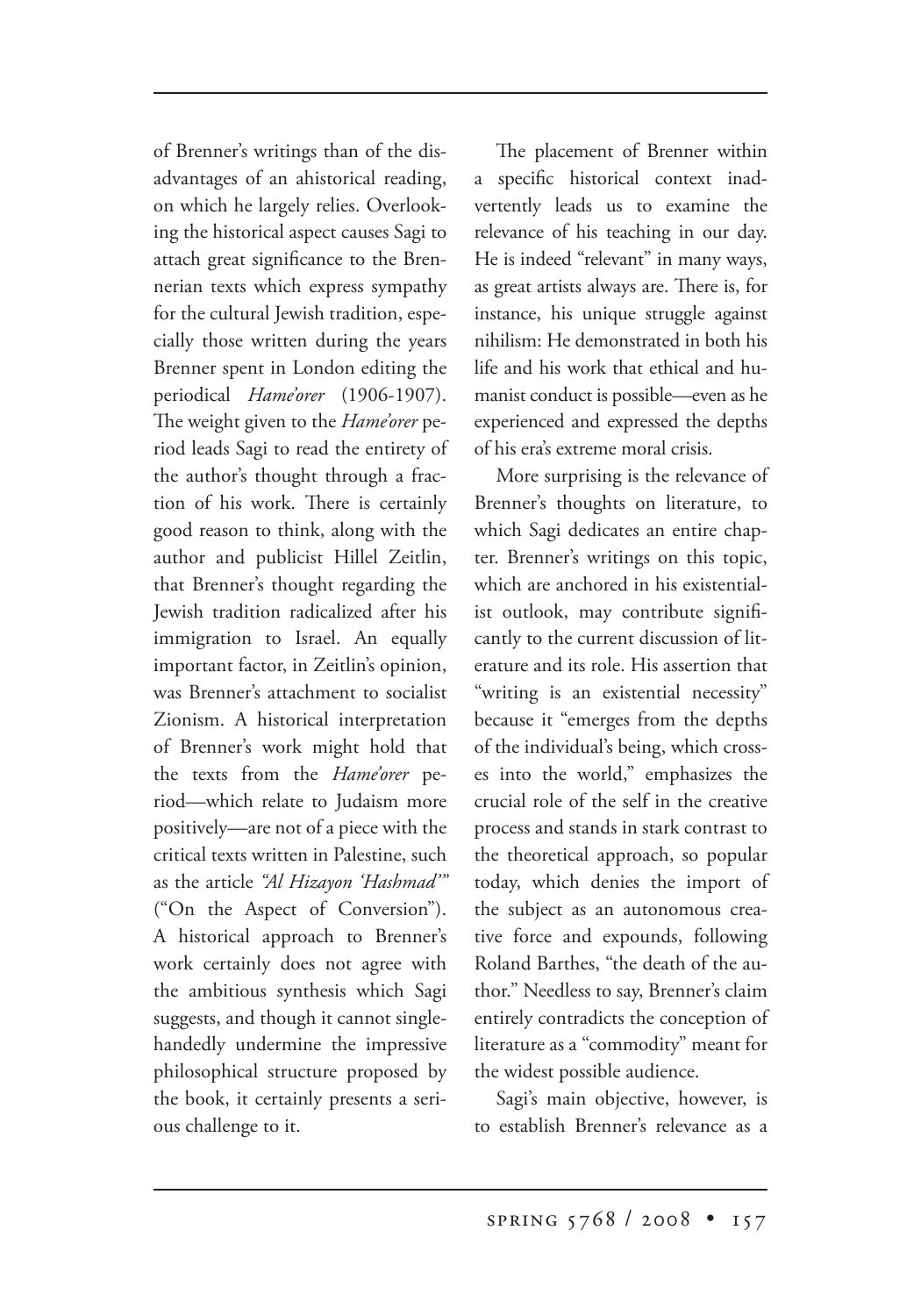of Brenner's writings than of the disadvantages of an ahistorical reading, on which he largely relies. Overlooking the historical aspect causes Sagi to attach great significance to the Brennerian texts which express sympathy for the cultural Jewish tradition, especially those written during the years Brenner spent in London editing the periodical *Hame'orer* (1906-1907). The weight given to the *Hame'orer* period leads Sagi to read the entirety of the author's thought through a fraction of his work. There is certainly good reason to think, along with the author and publicist Hillel Zeitlin, that Brenner's thought regarding the Jewish tradition radicalized after his immigration to Israel. An equally important factor, in Zeitlin's opinion, was Brenner's attachment to socialist Zionism. A historical interpretation of Brenner's work might hold that the texts from the *Hame'orer* period—which relate to Judaism more positively—are not of a piece with the critical texts written in Palestine, such as the article *"Al Hizayon 'Hashmad'"* ("On the Aspect of Conversion"). A historical approach to Brenner's work certainly does not agree with the ambitious synthesis which Sagi suggests, and though it cannot singlehandedly undermine the impressive philosophical structure proposed by the book, it certainly presents a serious challenge to it.

The placement of Brenner within a specific historical context inadvertently leads us to examine the relevance of his teaching in our day. He is indeed "relevant" in many ways, as great artists always are. There is, for instance, his unique struggle against nihilism: He demonstrated in both his life and his work that ethical and humanist conduct is possible—even as he experienced and expressed the depths of his era's extreme moral crisis.

More surprising is the relevance of Brenner's thoughts on literature, to which Sagi dedicates an entire chapter. Brenner's writings on this topic, which are anchored in his existentialist outlook, may contribute significantly to the current discussion of literature and its role. His assertion that "writing is an existential necessity" because it "emerges from the depths of the individual's being, which crosses into the world," emphasizes the crucial role of the self in the creative process and stands in stark contrast to the theoretical approach, so popular today, which denies the import of the subject as an autonomous creative force and expounds, following Roland Barthes, "the death of the author." Needless to say, Brenner's claim entirely contradicts the conception of literature as a "commodity" meant for the widest possible audience.

Sagi's main objective, however, is to establish Brenner's relevance as a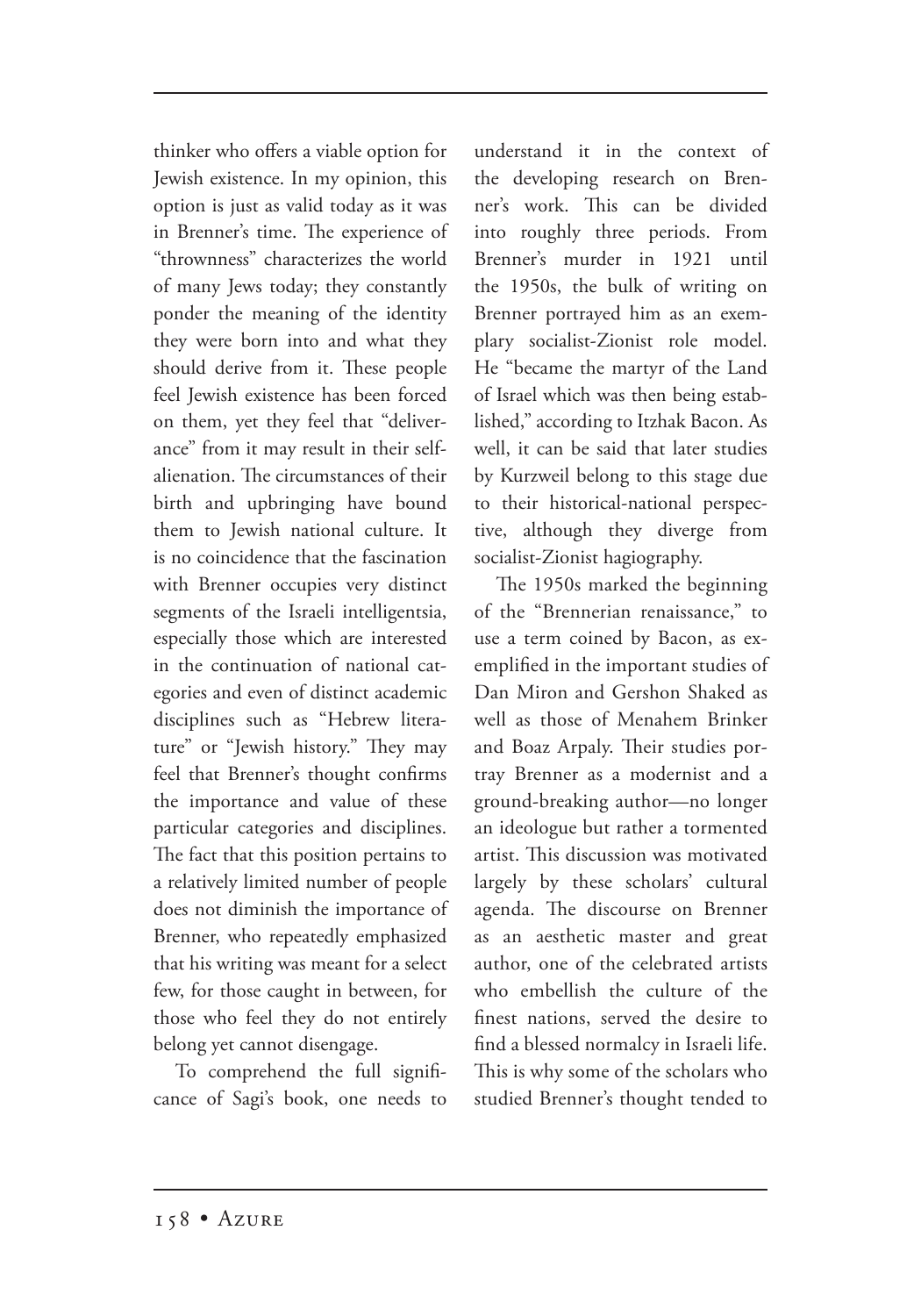thinker who offers a viable option for Jewish existence. In my opinion, this option is just as valid today as it was in Brenner's time. The experience of "thrownness" characterizes the world of many Jews today; they constantly ponder the meaning of the identity they were born into and what they should derive from it. These people feel Jewish existence has been forced on them, yet they feel that "deliverance" from it may result in their selfalienation. The circumstances of their birth and upbringing have bound them to Jewish national culture. It is no coincidence that the fascination with Brenner occupies very distinct segments of the Israeli intelligentsia, especially those which are interested in the continuation of national categories and even of distinct academic disciplines such as "Hebrew literature" or "Jewish history." They may feel that Brenner's thought confirms the importance and value of these particular categories and disciplines. The fact that this position pertains to a relatively limited number of people does not diminish the importance of Brenner, who repeatedly emphasized that his writing was meant for a select few, for those caught in between, for those who feel they do not entirely belong yet cannot disengage.

To comprehend the full significance of Sagi's book, one needs to understand it in the context of the developing research on Brenner's work. This can be divided into roughly three periods. From Brenner's murder in 1921 until the 1950s, the bulk of writing on Brenner portrayed him as an exemplary socialist-Zionist role model. He "became the martyr of the Land of Israel which was then being established," according to Itzhak Bacon. As well, it can be said that later studies by Kurzweil belong to this stage due to their historical-national perspective, although they diverge from socialist-Zionist hagiography.

The 1950s marked the beginning of the "Brennerian renaissance," to use a term coined by Bacon, as exemplified in the important studies of Dan Miron and Gershon Shaked as well as those of Menahem Brinker and Boaz Arpaly. Their studies portray Brenner as a modernist and a ground-breaking author—no longer an ideologue but rather a tormented artist. This discussion was motivated largely by these scholars' cultural agenda. The discourse on Brenner as an aesthetic master and great author, one of the celebrated artists who embellish the culture of the finest nations, served the desire to find a blessed normalcy in Israeli life. This is why some of the scholars who studied Brenner's thought tended to